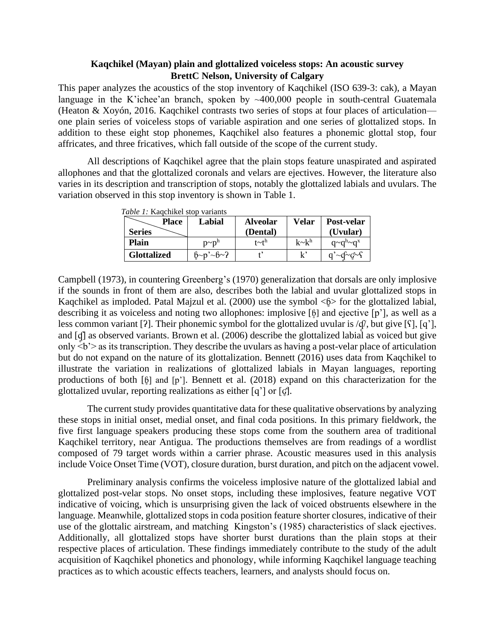## **Kaqchikel (Mayan) plain and glottalized voiceless stops: An acoustic survey BrettC Nelson, University of Calgary**

This paper analyzes the acoustics of the stop inventory of Kaqchikel (ISO 639-3: cak), a Mayan language in the K'ichee'an branch, spoken by  $\sim$ 400,000 people in south-central Guatemala (Heaton & Xoyón, 2016. Kaqchikel contrasts two series of stops at four places of articulation one plain series of voiceless stops of variable aspiration and one series of glottalized stops. In addition to these eight stop phonemes, Kaqchikel also features a phonemic glottal stop, four affricates, and three fricatives, which fall outside of the scope of the current study.

All descriptions of Kaqchikel agree that the plain stops feature unaspirated and aspirated allophones and that the glottalized coronals and velars are ejectives. However, the literature also varies in its description and transcription of stops, notably the glottalized labials and uvulars. The variation observed in this stop inventory is shown in Table 1.

| Place              | Labial       | <b>Alveolar</b> | Velar        | Post-velar                  |
|--------------------|--------------|-----------------|--------------|-----------------------------|
| <b>Series</b>      |              | (Dental)        |              | (Uvular)                    |
| Plain              | $p \sim p^n$ | $t$ ~ $t^h$     | $k \sim k^h$ | $q \sim q^h \sim q^x$       |
| <b>Glottalized</b> | $6-p^3-6-2$  |                 | $\mathbf{r}$ | $q' \sim q' \sim q' \sim f$ |

*Table 1:* Kaqchikel stop variants

Campbell (1973), in countering Greenberg's (1970) generalization that dorsals are only implosive if the sounds in front of them are also, describes both the labial and uvular glottalized stops in Kaqchikel as imploded. Patal Majzul et al. (2000) use the symbol  $\langle \phi \rangle$  for the glottalized labial, describing it as voiceless and noting two allophones: implosive [ɓ̥] and ejective [p'], as well as a less common variant [?]. Their phonemic symbol for the glottalized uvular is  $\langle \hat{\phi} \rangle$ , but give [ $\{ \}$ ], [q'], and [q] as observed variants. Brown et al. (2006) describe the glottalized labial as voiced but give only  $\leq b$  as its transcription. They describe the uvulars as having a post-velar place of articulation but do not expand on the nature of its glottalization. Bennett (2016) uses data from Kaqchikel to illustrate the variation in realizations of glottalized labials in Mayan languages, reporting productions of both [ɓ̥] and [p']. Bennett et al. (2018) expand on this characterization for the glottalized uvular, reporting realizations as either  $[q']$  or  $[q']$ .

The current study provides quantitative data for these qualitative observations by analyzing these stops in initial onset, medial onset, and final coda positions. In this primary fieldwork, the five first language speakers producing these stops come from the southern area of traditional Kaqchikel territory, near Antigua. The productions themselves are from readings of a wordlist composed of 79 target words within a carrier phrase. Acoustic measures used in this analysis include Voice Onset Time (VOT), closure duration, burst duration, and pitch on the adjacent vowel.

Preliminary analysis confirms the voiceless implosive nature of the glottalized labial and glottalized post-velar stops. No onset stops, including these implosives, feature negative VOT indicative of voicing, which is unsurprising given the lack of voiced obstruents elsewhere in the language. Meanwhile, glottalized stops in coda position feature shorter closures, indicative of their use of the glottalic airstream, and matching Kingston's (1985) characteristics of slack ejectives. Additionally, all glottalized stops have shorter burst durations than the plain stops at their respective places of articulation. These findings immediately contribute to the study of the adult acquisition of Kaqchikel phonetics and phonology, while informing Kaqchikel language teaching practices as to which acoustic effects teachers, learners, and analysts should focus on.